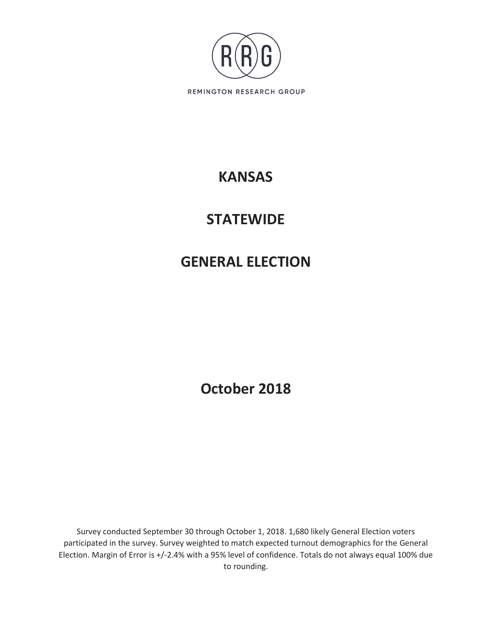

# **KANSAS**

# **STATEWIDE**

# **GENERAL ELECTION**

**October 2018**

Survey conducted September 30 through October 1, 2018. 1,680 likely General Election voters participated in the survey. Survey weighted to match expected turnout demographics for the General Election. Margin of Error is +/-2.4% with a 95% level of confidence. Totals do not always equal 100% due to rounding.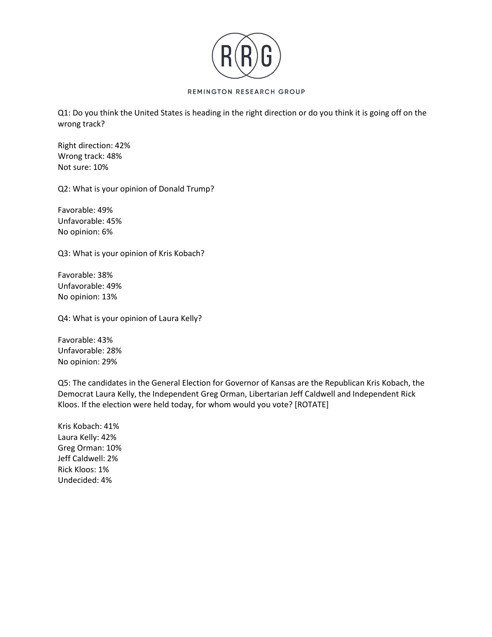

Q1: Do you think the United States is heading in the right direction or do you think it is going off on the wrong track?

Right direction: 42% Wrong track: 48% Not sure: 10%

Q2: What is your opinion of Donald Trump?

Favorable: 49% Unfavorable: 45% No opinion: 6%

Q3: What is your opinion of Kris Kobach?

Favorable: 38% Unfavorable: 49% No opinion: 13%

Q4: What is your opinion of Laura Kelly?

Favorable: 43% Unfavorable: 28% No opinion: 29%

Q5: The candidates in the General Election for Governor of Kansas are the Republican Kris Kobach, the Democrat Laura Kelly, the Independent Greg Orman, Libertarian Jeff Caldwell and Independent Rick Kloos. If the election were held today, for whom would you vote? [ROTATE]

Kris Kobach: 41% Laura Kelly: 42% Greg Orman: 10% Jeff Caldwell: 2% Rick Kloos: 1% Undecided: 4%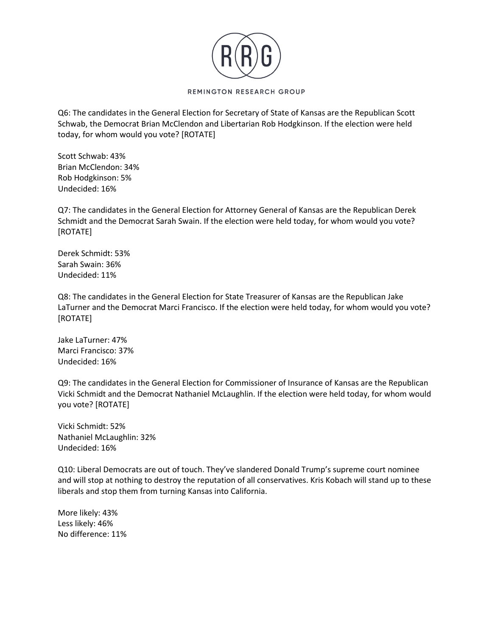

Q6: The candidates in the General Election for Secretary of State of Kansas are the Republican Scott Schwab, the Democrat Brian McClendon and Libertarian Rob Hodgkinson. If the election were held today, for whom would you vote? [ROTATE]

Scott Schwab: 43% Brian McClendon: 34% Rob Hodgkinson: 5% Undecided: 16%

Q7: The candidates in the General Election for Attorney General of Kansas are the Republican Derek Schmidt and the Democrat Sarah Swain. If the election were held today, for whom would you vote? [ROTATE]

Derek Schmidt: 53% Sarah Swain: 36% Undecided: 11%

Q8: The candidates in the General Election for State Treasurer of Kansas are the Republican Jake LaTurner and the Democrat Marci Francisco. If the election were held today, for whom would you vote? [ROTATE]

Jake LaTurner: 47% Marci Francisco: 37% Undecided: 16%

Q9: The candidates in the General Election for Commissioner of Insurance of Kansas are the Republican Vicki Schmidt and the Democrat Nathaniel McLaughlin. If the election were held today, for whom would you vote? [ROTATE]

Vicki Schmidt: 52% Nathaniel McLaughlin: 32% Undecided: 16%

Q10: Liberal Democrats are out of touch. They've slandered Donald Trump's supreme court nominee and will stop at nothing to destroy the reputation of all conservatives. Kris Kobach will stand up to these liberals and stop them from turning Kansas into California.

More likely: 43% Less likely: 46% No difference: 11%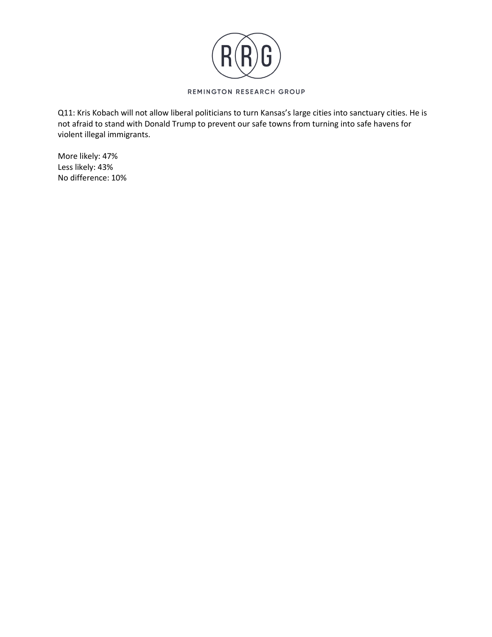

Q11: Kris Kobach will not allow liberal politicians to turn Kansas's large cities into sanctuary cities. He is not afraid to stand with Donald Trump to prevent our safe towns from turning into safe havens for violent illegal immigrants.

More likely: 47% Less likely: 43% No difference: 10%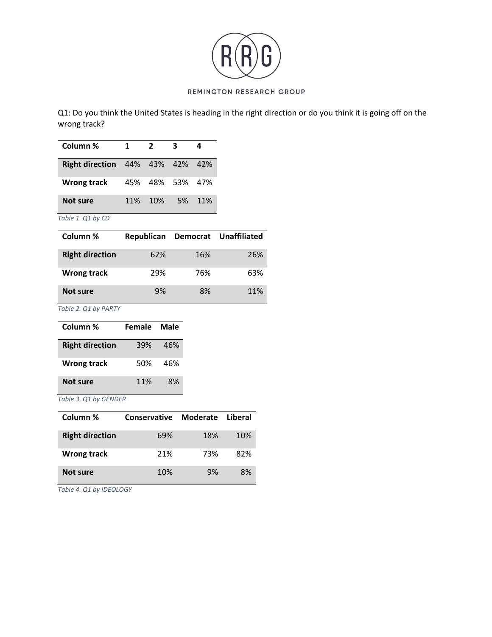

Q1: Do you think the United States is heading in the right direction or do you think it is going off on the wrong track?

| Column %                               | $\mathbf 1$ | $\overline{2}$  | 3   | 4   |
|----------------------------------------|-------------|-----------------|-----|-----|
| <b>Right direction</b> 44% 43% 42% 42% |             |                 |     |     |
| <b>Wrong track</b>                     |             | 45% 48% 53% 47% |     |     |
| <b>Not sure</b>                        | <b>11%</b>  | 10%             | .5% | 11% |

*Table 1. Q1 by CD*

| Column %               | Republican |     | Democrat Unaffiliated |
|------------------------|------------|-----|-----------------------|
| <b>Right direction</b> | 62%        | 16% | 26%                   |
| <b>Wrong track</b>     | 29%        | 76% | 63%                   |
| Not sure               | 9%         | 8%  | 11%                   |

*Table 2. Q1 by PARTY*

| Column %               | <b>Female</b> | Male |
|------------------------|---------------|------|
| <b>Right direction</b> | 39%           | 46%  |
| <b>Wrong track</b>     | 50%           | 46%  |
| <b>Not sure</b>        | 11%           | 8%   |

## *Table 3. Q1 by GENDER*

| Column %               | Conservative | Moderate | Liberal |
|------------------------|--------------|----------|---------|
| <b>Right direction</b> | 69%          | 18%      | 10%     |
| <b>Wrong track</b>     | 21%          | 73%      | 82%     |
| Not sure               | 10%          | 9%       | 8%      |

*Table 4. Q1 by IDEOLOGY*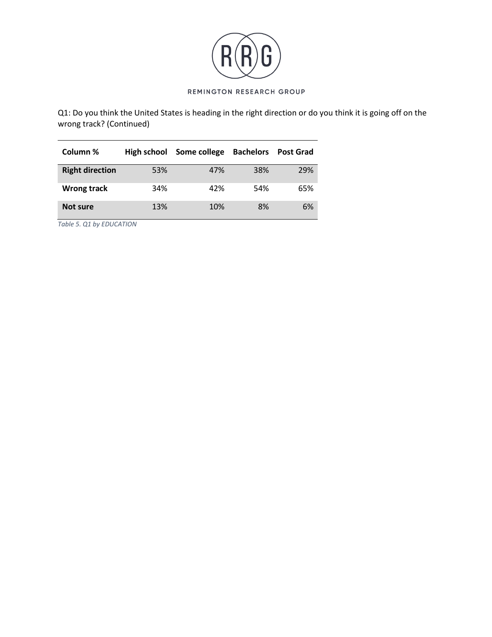

Q1: Do you think the United States is heading in the right direction or do you think it is going off on the wrong track? (Continued)

| Column %               | High school | Some college | <b>Bachelors</b> | <b>Post Grad</b> |
|------------------------|-------------|--------------|------------------|------------------|
| <b>Right direction</b> | 53%         | 47%          | 38%              | 29%              |
| Wrong track            | 34%         | 42%          | 54%              | 65%              |
| Not sure               | 13%         | 10%          | 8%               | 6%               |

*Table 5. Q1 by EDUCATION*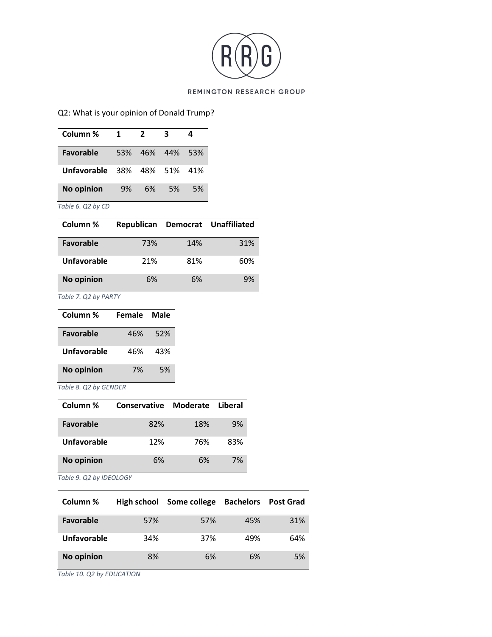

# Q2: What is your opinion of Donald Trump?

| Column %          | 1   | $\overline{2}$ | 3   |     |
|-------------------|-----|----------------|-----|-----|
| <b>Favorable</b>  | 53% | 46%            | 44% | 53% |
| Unfavorable 38%   |     | 48% 51%        |     | 41% |
| <b>No opinion</b> | 9%  | 6%             | .5% | 5%  |
| Table 6. Q2 by CD |     |                |     |     |

| Column %          | Republican |     | Democrat Unaffiliated |
|-------------------|------------|-----|-----------------------|
| <b>Favorable</b>  | 73%        | 14% | 31%                   |
| Unfavorable       | 21%        | 81% | 60%                   |
| <b>No opinion</b> | 6%         | 6%  | 9%                    |

*Table 7. Q2 by PARTY*

| Column %          | Female | Male |
|-------------------|--------|------|
| <b>Favorable</b>  | 46%    | 52%  |
| Unfavorable       | 46%    | 43%  |
| <b>No opinion</b> | 7%     | 5%   |

*Table 8. Q2 by GENDER*

| Column %          | <b>Conservative</b> | Moderate Liberal |     |
|-------------------|---------------------|------------------|-----|
| <b>Favorable</b>  | 82%                 | 18%              | 9%  |
| Unfavorable       | 12%                 | 76%              | 83% |
| <b>No opinion</b> | 6%                  | 6%               | 7%  |

*Table 9. Q2 by IDEOLOGY*

| Column %          | High school | Some college | <b>Bachelors</b> | <b>Post Grad</b> |
|-------------------|-------------|--------------|------------------|------------------|
| <b>Favorable</b>  | 57%         | 57%          | 45%              | 31%              |
| Unfavorable       | 34%         | 37%          | 49%              | 64%              |
| <b>No opinion</b> | 8%          | 6%           | 6%               | 5%               |

*Table 10. Q2 by EDUCATION*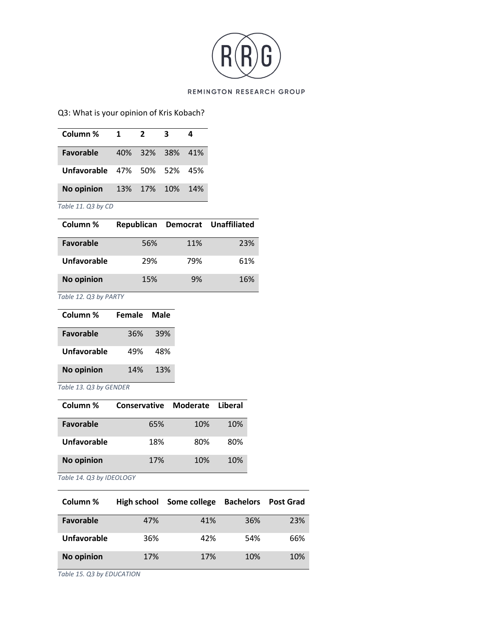

# Q3: What is your opinion of Kris Kobach?

| Column %                           | 1 | $\overline{2}$ | 3               | 4   |
|------------------------------------|---|----------------|-----------------|-----|
| <b>Favorable</b>                   |   |                | 40% 32% 38% 41% |     |
| <b>Unfavorable 47% 50% 52% 45%</b> |   |                |                 |     |
| No opinion 13% 17% 10%             |   |                |                 | 14% |
| Table 11. Q3 by CD                 |   |                |                 |     |

| Column %          | Republican |     | Democrat Unaffiliated |
|-------------------|------------|-----|-----------------------|
| Favorable         | 56%        | 11% | 23%                   |
| Unfavorable       | 29%        | 79% | 61%                   |
| <b>No opinion</b> | 15%        | 9%  | 16%                   |

*Table 12. Q3 by PARTY*

| Column %          | Female | Male |
|-------------------|--------|------|
| <b>Favorable</b>  | 36%    | 39%  |
| Unfavorable       | 49%    | 48%  |
| <b>No opinion</b> | 14%    | 13%  |

*Table 13. Q3 by GENDER*

| Column %          | Conservative | Moderate | Liberal |
|-------------------|--------------|----------|---------|
| <b>Favorable</b>  | 65%          | 10%      | 10%     |
| Unfavorable       | 18%          | 80%      | 80%     |
| <b>No opinion</b> | 17%          | 10%      | 10%     |

*Table 14. Q3 by IDEOLOGY*

| Column %          | High school | Some college | <b>Bachelors</b> | <b>Post Grad</b> |
|-------------------|-------------|--------------|------------------|------------------|
| <b>Favorable</b>  | 47%         | 41%          | 36%              | 23%              |
| Unfavorable       | 36%         | 42%          | 54%              | 66%              |
| <b>No opinion</b> | 17%         | 17%          | 10%              | 10%              |

*Table 15. Q3 by EDUCATION*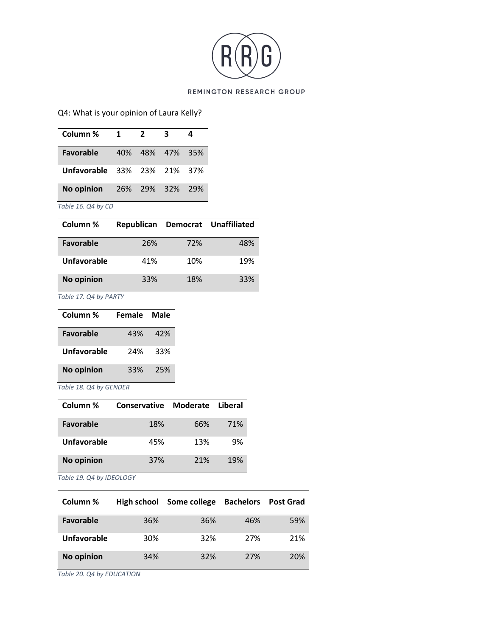

# Q4: What is your opinion of Laura Kelly?

| Column %                    | $\mathbf 1$ | $\overline{2}$ | - 3             | 4     |
|-----------------------------|-------------|----------------|-----------------|-------|
| <b>Favorable</b>            |             |                | 40% 48% 47% 35% |       |
| Unfavorable 33% 23% 21% 37% |             |                |                 |       |
| No opinion 26% 29% 32%      |             |                |                 | - 29% |
| Table 16. Q4 by CD          |             |                |                 |       |

| Column %          | Republican |     | Democrat Unaffiliated |
|-------------------|------------|-----|-----------------------|
| <b>Favorable</b>  | 26%        | 72% | 48%                   |
| Unfavorable       | 41%        | 10% | 19%                   |
| <b>No opinion</b> | 33%        | 18% | 33%                   |

*Table 17. Q4 by PARTY*

| Column %          | <b>Female</b> | Male |
|-------------------|---------------|------|
| <b>Favorable</b>  | 43%           | 42%  |
| Unfavorable       | 24%           | 33%  |
| <b>No opinion</b> | 33%           | 25%  |

*Table 18. Q4 by GENDER*

| Column %          | Conservative | Moderate | Liberal |
|-------------------|--------------|----------|---------|
| <b>Favorable</b>  | 18%          | 66%      | 71%     |
| Unfavorable       | 45%          | 13%      | 9%      |
| <b>No opinion</b> | 37%          | 21%      | 19%     |

*Table 19. Q4 by IDEOLOGY*

| Column %          | High school | Some college | <b>Bachelors</b> | <b>Post Grad</b> |
|-------------------|-------------|--------------|------------------|------------------|
| Favorable         | 36%         | 36%          | 46%              | 59%              |
| Unfavorable       | 30%         | 32%          | 27%              | 21%              |
| <b>No opinion</b> | 34%         | 32%          | 27%              | 20%              |

*Table 20. Q4 by EDUCATION*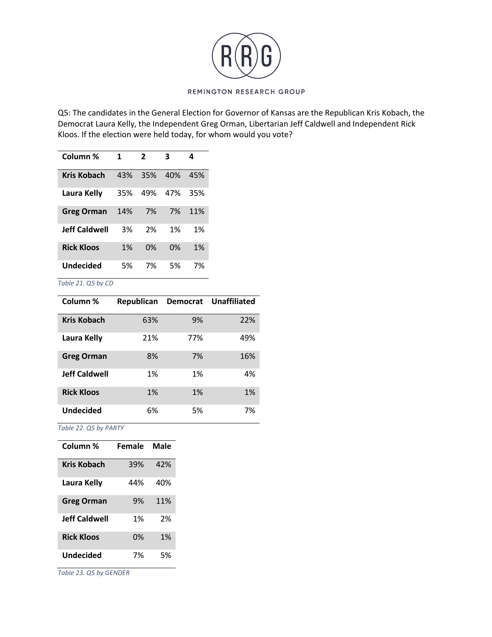

Q5: The candidates in the General Election for Governor of Kansas are the Republican Kris Kobach, the Democrat Laura Kelly, the Independent Greg Orman, Libertarian Jeff Caldwell and Independent Rick Kloos. If the election were held today, for whom would you vote?

| Column %             | 1   | 2   | 3   | 4   |
|----------------------|-----|-----|-----|-----|
| <b>Kris Kobach</b>   | 43% | 35% | 40% | 45% |
| Laura Kelly          | 35% | 49% | 47% | 35% |
| <b>Greg Orman</b>    | 14% | 7%  | 7%  | 11% |
| <b>Jeff Caldwell</b> | 3%  | 2%  | 1%  | 1%  |
| <b>Rick Kloos</b>    | 1%  | 0%  | 0%  | 1%  |
| Undecided            | 5%  | 7%  | 5%  | 7%  |

*Table 21. Q5 by CD*

| Column %             | Republican | <b>Democrat</b> | <b>Unaffiliated</b> |
|----------------------|------------|-----------------|---------------------|
| Kris Kobach          | 63%        | 9%              | 22%                 |
| Laura Kelly          | 21%        | 77%             | 49%                 |
| <b>Greg Orman</b>    | 8%         | 7%              | 16%                 |
| <b>Jeff Caldwell</b> | 1%         | 1%              | 4%                  |
| <b>Rick Kloos</b>    | 1%         | 1%              | 1%                  |
| <b>Undecided</b>     | 6%         | 5%              | 7%                  |

*Table 22. Q5 by PARTY*

| Column %             | Female | Male |
|----------------------|--------|------|
| Kris Kobach          | 39%    | 42%  |
| Laura Kelly          | 44%    | 40%  |
| <b>Greg Orman</b>    | 9%     | 11%  |
| <b>Jeff Caldwell</b> | 1%     | 2%   |
| <b>Rick Kloos</b>    | 0%     | 1%   |
| Undecided            | 7%     | 5%   |

*Table 23. Q5 by GENDER*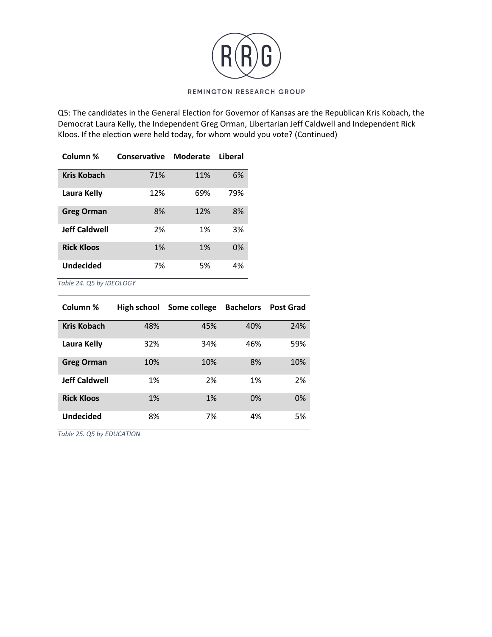

Q5: The candidates in the General Election for Governor of Kansas are the Republican Kris Kobach, the Democrat Laura Kelly, the Independent Greg Orman, Libertarian Jeff Caldwell and Independent Rick Kloos. If the election were held today, for whom would you vote? (Continued)

| Column %             | Conservative | Moderate | Liberal |
|----------------------|--------------|----------|---------|
| Kris Kobach          | 71%          | 11%      | 6%      |
| Laura Kelly          | 12%          | 69%      | 79%     |
| <b>Greg Orman</b>    | 8%           | 12%      | 8%      |
| <b>Jeff Caldwell</b> | 2%           | 1%       | 3%      |
| <b>Rick Kloos</b>    | 1%           | 1%       | 0%      |
| Undecided            | 7%           | 5%       | 4%      |

*Table 24. Q5 by IDEOLOGY*

| Column %             | High school | Some college | <b>Bachelors</b> | <b>Post Grad</b> |
|----------------------|-------------|--------------|------------------|------------------|
| <b>Kris Kobach</b>   | 48%         | 45%          | 40%              | 24%              |
| Laura Kelly          | 32%         | 34%          | 46%              | 59%              |
| <b>Greg Orman</b>    | 10%         | 10%          | 8%               | 10%              |
| <b>Jeff Caldwell</b> | 1%          | 2%           | 1%               | 2%               |
| <b>Rick Kloos</b>    | 1%          | 1%           | 0%               | 0%               |
| <b>Undecided</b>     | 8%          | 7%           | 4%               | 5%               |

*Table 25. Q5 by EDUCATION*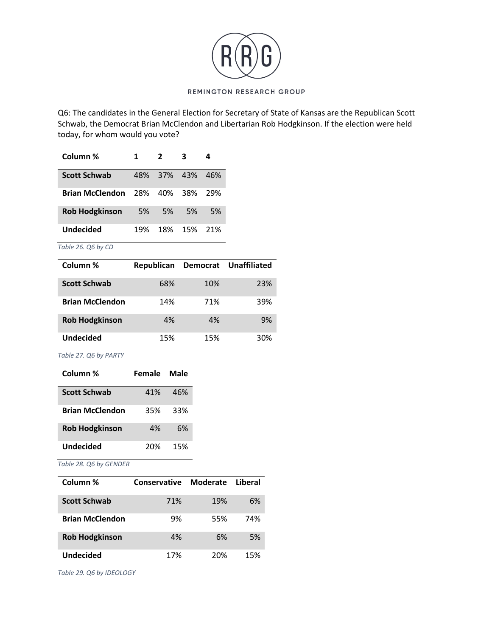

Q6: The candidates in the General Election for Secretary of State of Kansas are the Republican Scott Schwab, the Democrat Brian McClendon and Libertarian Rob Hodgkinson. If the election were held today, for whom would you vote?

| Column %               | 1         | $\overline{2}$ |     |           |
|------------------------|-----------|----------------|-----|-----------|
| <b>Scott Schwab</b>    | 48%       | 37% 43%        |     | 46%       |
| <b>Brian McClendon</b> | 28%       | 40%            | 38% | 29%       |
| <b>Rob Hodgkinson</b>  | <b>5%</b> | 5%             | .5% | <b>5%</b> |
| Undecided              | 19%       | 18%            | 15% | 21%       |

*Table 26. Q6 by CD*

| Column %               | Republican |     | Democrat Unaffiliated |
|------------------------|------------|-----|-----------------------|
| <b>Scott Schwab</b>    | 68%        | 10% | 23%                   |
| <b>Brian McClendon</b> | 14%        | 71% | 39%                   |
| <b>Rob Hodgkinson</b>  | 4%         | 4%  | 9%                    |
| <b>Undecided</b>       | 15%        | 15% | 30%                   |

*Table 27. Q6 by PARTY*

| Column %               | <b>Female</b> | Male |
|------------------------|---------------|------|
| <b>Scott Schwab</b>    | 41%           | 46%  |
| <b>Brian McClendon</b> | 35%           | 33%  |
| <b>Rob Hodgkinson</b>  | 4%            | 6%   |
| <b>Undecided</b>       | 20%           | 15%  |

*Table 28. Q6 by GENDER*

| Column %               | Conservative | Moderate | Liberal |
|------------------------|--------------|----------|---------|
| <b>Scott Schwab</b>    | 71%          | 19%      | 6%      |
| <b>Brian McClendon</b> | 9%           | 55%      | 74%     |
| <b>Rob Hodgkinson</b>  | 4%           | 6%       | 5%      |
| <b>Undecided</b>       | 17%          | 20%      | 15%     |

*Table 29. Q6 by IDEOLOGY*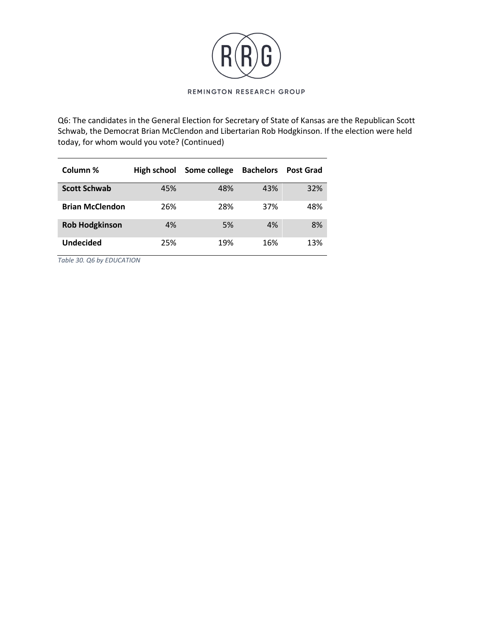

Q6: The candidates in the General Election for Secretary of State of Kansas are the Republican Scott Schwab, the Democrat Brian McClendon and Libertarian Rob Hodgkinson. If the election were held today, for whom would you vote? (Continued)

| Column %               | High school | Some college | <b>Bachelors</b> | <b>Post Grad</b> |
|------------------------|-------------|--------------|------------------|------------------|
| <b>Scott Schwab</b>    | 45%         | 48%          | 43%              | 32%              |
| <b>Brian McClendon</b> | 26%         | 28%          | 37%              | 48%              |
| <b>Rob Hodgkinson</b>  | 4%          | 5%           | 4%               | 8%               |
| <b>Undecided</b>       | 25%         | 19%          | 16%              | 13%              |

*Table 30. Q6 by EDUCATION*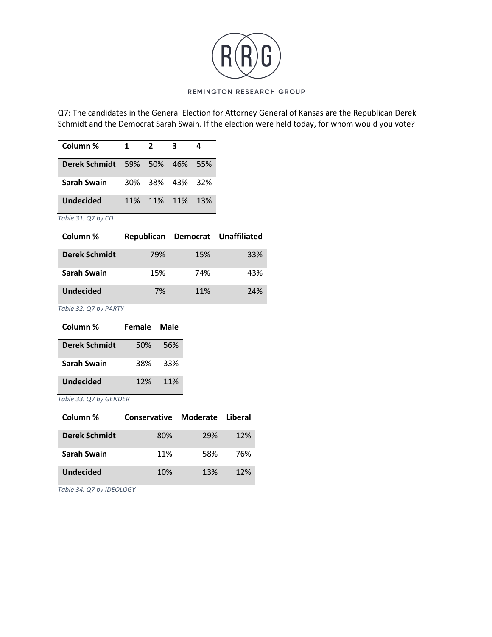

Q7: The candidates in the General Election for Attorney General of Kansas are the Republican Derek Schmidt and the Democrat Sarah Swain. If the election were held today, for whom would you vote?

| Column %                             | 1.         | $\overline{2}$ |             |     |
|--------------------------------------|------------|----------------|-------------|-----|
| <b>Derek Schmidt</b> 59% 50% 46% 55% |            |                |             |     |
| <b>Sarah Swain</b>                   | 30%        |                | 38% 43% 32% |     |
| <b>Undecided</b>                     | <b>11%</b> |                | 11% 11%     | 13% |

*Table 31. Q7 by CD*

| Column %             | Republican |     | Democrat Unaffiliated |
|----------------------|------------|-----|-----------------------|
| <b>Derek Schmidt</b> | 79%        | 15% | 33%                   |
| Sarah Swain          | 15%        | 74% | 43%                   |
| <b>Undecided</b>     | 7%         | 11% | 24%                   |

*Table 32. Q7 by PARTY*

| Column %             | Female Male |     |
|----------------------|-------------|-----|
| <b>Derek Schmidt</b> | 50%         | 56% |
| <b>Sarah Swain</b>   | 38%         | 33% |
| Undecided            | 12%         | 11% |

*Table 33. Q7 by GENDER*

| Column %             | Conservative Moderate Liberal |     |     |
|----------------------|-------------------------------|-----|-----|
| <b>Derek Schmidt</b> | 80%                           | 29% | 12% |
| Sarah Swain          | 11%                           | 58% | 76% |
| <b>Undecided</b>     | 10%                           | 13% | 12% |

*Table 34. Q7 by IDEOLOGY*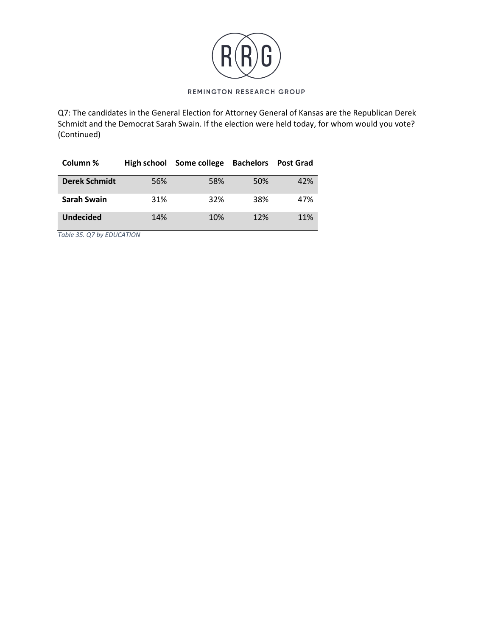

Q7: The candidates in the General Election for Attorney General of Kansas are the Republican Derek Schmidt and the Democrat Sarah Swain. If the election were held today, for whom would you vote? (Continued)

| Column %             | High school | Some college | <b>Bachelors</b> | <b>Post Grad</b> |
|----------------------|-------------|--------------|------------------|------------------|
| <b>Derek Schmidt</b> | 56%         | 58%          | 50%              | 42%              |
| Sarah Swain          | 31%         | 32%          | 38%              | 47%              |
| <b>Undecided</b>     | 14%         | 10%          | 12%              | 11%              |

*Table 35. Q7 by EDUCATION*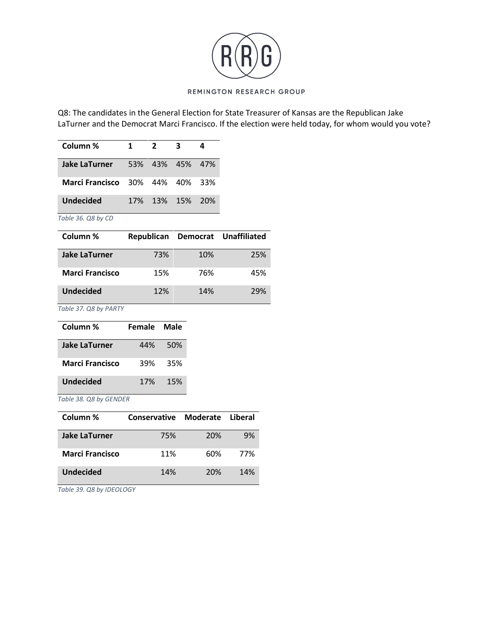

Q8: The candidates in the General Election for State Treasurer of Kansas are the Republican Jake LaTurner and the Democrat Marci Francisco. If the election were held today, for whom would you vote?

| Column %                               | 1. | $\mathbf{z}$    | 3 |  |
|----------------------------------------|----|-----------------|---|--|
| <b>Jake LaTurner</b> 53% 43% 45% 47%   |    |                 |   |  |
| <b>Marci Francisco</b> 30% 44% 40% 33% |    |                 |   |  |
| <b>Undecided</b>                       |    | 17% 13% 15% 20% |   |  |

*Table 36. Q8 by CD*

| Column %               | Republican |     | Democrat Unaffiliated |
|------------------------|------------|-----|-----------------------|
| <b>Jake LaTurner</b>   | 73%        | 10% | 25%                   |
| <b>Marci Francisco</b> | 15%        | 76% | 45%                   |
| <b>Undecided</b>       | 12%        | 14% | 29%                   |

*Table 37. Q8 by PARTY*

| Column %               | Female Male |      |
|------------------------|-------------|------|
| <b>Jake LaTurner</b>   | 44%         | .50% |
| <b>Marci Francisco</b> | 39%         | 35%  |
| Undecided              | 17%         | 15%  |

*Table 38. Q8 by GENDER*

| Column %               | Conservative Moderate |     | Liberal |
|------------------------|-----------------------|-----|---------|
| <b>Jake LaTurner</b>   | 75%                   | 20% | 9%      |
| <b>Marci Francisco</b> | 11%                   | 60% | 77%     |
| <b>Undecided</b>       | 14%                   | 20% | 14%     |

*Table 39. Q8 by IDEOLOGY*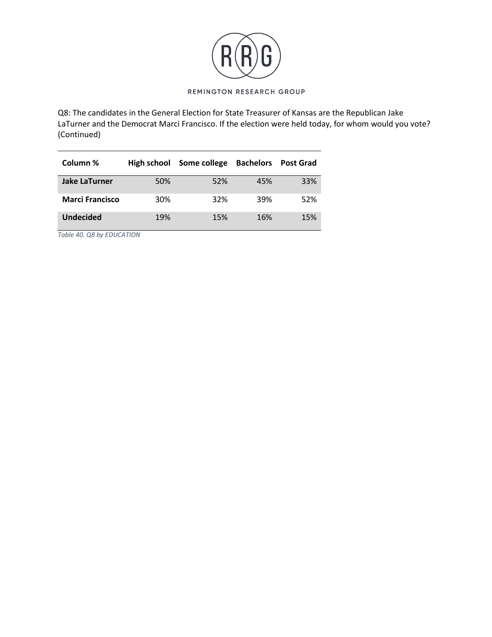

Q8: The candidates in the General Election for State Treasurer of Kansas are the Republican Jake LaTurner and the Democrat Marci Francisco. If the election were held today, for whom would you vote? (Continued)

| Column %               | High school | Some college | <b>Bachelors</b> | <b>Post Grad</b> |
|------------------------|-------------|--------------|------------------|------------------|
| <b>Jake LaTurner</b>   | 50%         | 52%          | 45%              | 33%              |
| <b>Marci Francisco</b> | 30%         | 32%          | 39%              | 52%              |
| <b>Undecided</b>       | 19%         | 15%          | 16%              | 15%              |

*Table 40. Q8 by EDUCATION*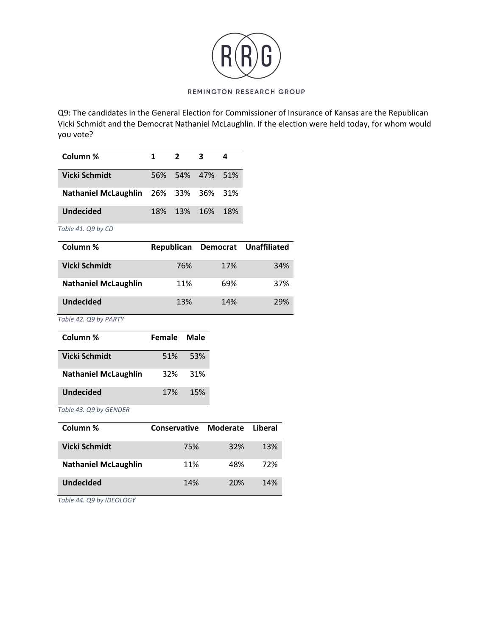

Q9: The candidates in the General Election for Commissioner of Insurance of Kansas are the Republican Vicki Schmidt and the Democrat Nathaniel McLaughlin. If the election were held today, for whom would you vote?

| Column %                                    | 1   | $2^{\circ}$       | $\overline{\mathbf{3}}$ | 4               |
|---------------------------------------------|-----|-------------------|-------------------------|-----------------|
| Vicki Schmidt                               |     | 56% 54% 47% 51%   |                         |                 |
| <b>Nathaniel McLaughlin</b> 26% 33% 36% 31% |     |                   |                         |                 |
| <b>Undecided</b>                            | 18% | 13% 16%           |                         | - 18%           |
| Table 41. Q9 by CD                          |     |                   |                         |                 |
| $C_{\alpha}$ $\mu$                          |     | <b>Donublican</b> |                         | <b>Domocrat</b> |

| Column %                    |     |     | Republican Democrat Unaffiliated |
|-----------------------------|-----|-----|----------------------------------|
| Vicki Schmidt               | 76% | 17% | 34%                              |
| <b>Nathaniel McLaughlin</b> | 11% | 69% | 37%                              |
| <b>Undecided</b>            | 13% | 14% | 29%                              |

*Table 42. Q9 by PARTY*

| Column %                    | Female Male |         |
|-----------------------------|-------------|---------|
| Vicki Schmidt               |             | 51% 53% |
| <b>Nathaniel McLaughlin</b> | 32%         | -31%    |
| Undecided                   | 17%         | 15%     |

*Table 43. Q9 by GENDER*

| Column %                    | <b>Conservative</b> | Moderate | Liberal |
|-----------------------------|---------------------|----------|---------|
| Vicki Schmidt               | 75%                 | 32%      | 13%     |
| <b>Nathaniel McLaughlin</b> | 11%                 | 48%      | 72%     |
| <b>Undecided</b>            | 14%                 | 20%      | 14%     |

*Table 44. Q9 by IDEOLOGY*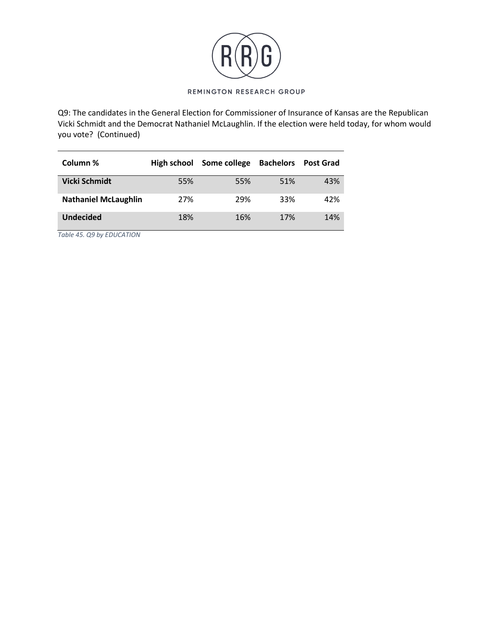

Q9: The candidates in the General Election for Commissioner of Insurance of Kansas are the Republican Vicki Schmidt and the Democrat Nathaniel McLaughlin. If the election were held today, for whom would you vote? (Continued)

| Column %                    | High school | Some college | <b>Bachelors</b> | <b>Post Grad</b> |
|-----------------------------|-------------|--------------|------------------|------------------|
| <b>Vicki Schmidt</b>        | 55%         | 55%          | 51%              | 43%              |
| <b>Nathaniel McLaughlin</b> | 27%         | 29%          | 33%              | 42%              |
| <b>Undecided</b>            | 18%         | 16%          | 17%              | 14%              |

*Table 45. Q9 by EDUCATION*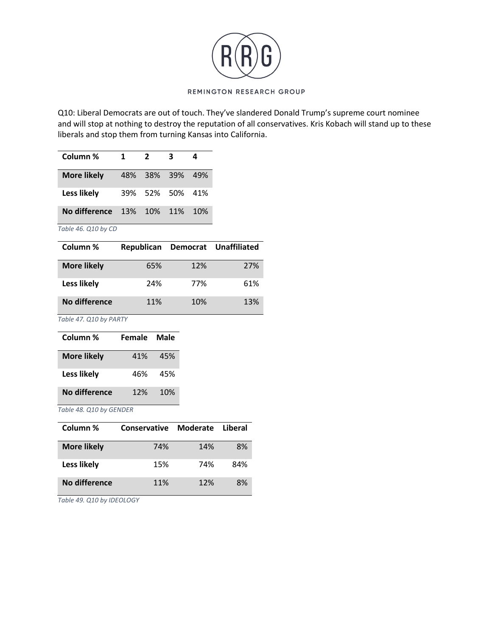

Q10: Liberal Democrats are out of touch. They've slandered Donald Trump's supreme court nominee and will stop at nothing to destroy the reputation of all conservatives. Kris Kobach will stand up to these liberals and stop them from turning Kansas into California.

| Column %                         | 1 | 2               |      |
|----------------------------------|---|-----------------|------|
| <b>More likely</b>               |   | 48% 38% 39%     | -49% |
| Less likely                      |   | 39% 52% 50% 41% |      |
| <b>No difference</b> 13% 10% 11% |   |                 | 10%  |

*Table 46. Q10 by CD*

| Column %           | Republican |     | Democrat Unaffiliated |
|--------------------|------------|-----|-----------------------|
| <b>More likely</b> | 65%        | 12% | 27%                   |
| Less likely        | 24%        | 77% | 61%                   |
| No difference      | 11%        | 10% | 13%                   |

*Table 47. Q10 by PARTY*

| Column %           | Female | Male |
|--------------------|--------|------|
| <b>More likely</b> | 41%    | 45%  |
| Less likely        | 46%    | 45%  |
| No difference      | 12%    | 10%  |

*Table 48. Q10 by GENDER*

| Column %           | Conservative | Moderate | Liberal |
|--------------------|--------------|----------|---------|
| <b>More likely</b> | 74%          | 14%      | 8%      |
| Less likely        | 15%          | 74%      | 84%     |
| No difference      | 11%          | 12%      | 8%      |

*Table 49. Q10 by IDEOLOGY*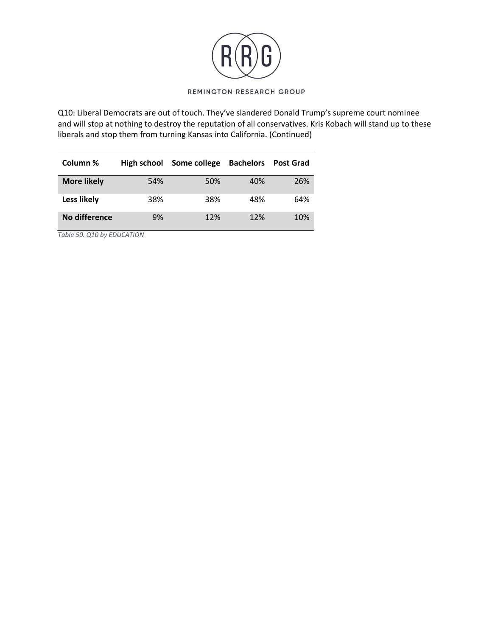

Q10: Liberal Democrats are out of touch. They've slandered Donald Trump's supreme court nominee and will stop at nothing to destroy the reputation of all conservatives. Kris Kobach will stand up to these liberals and stop them from turning Kansas into California. (Continued)

| Column %           | High school | Some college | <b>Bachelors</b> | <b>Post Grad</b> |
|--------------------|-------------|--------------|------------------|------------------|
| <b>More likely</b> | 54%         | 50%          | 40%              | 26%              |
| Less likely        | 38%         | 38%          | 48%              | 64%              |
| No difference      | 9%          | 12%          | 12%              | 10%              |

*Table 50. Q10 by EDUCATION*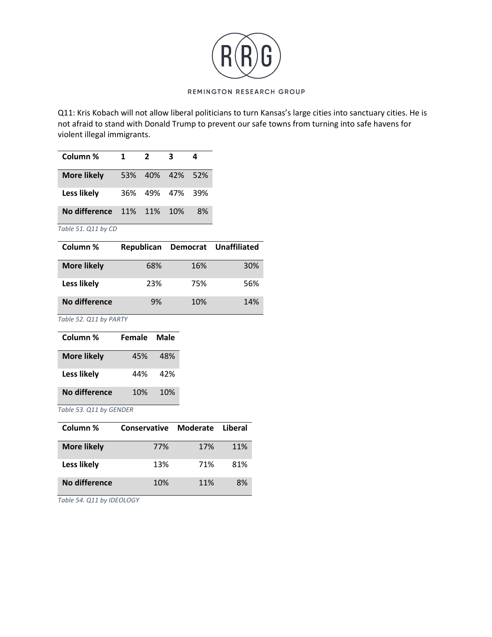

Q11: Kris Kobach will not allow liberal politicians to turn Kansas's large cities into sanctuary cities. He is not afraid to stand with Donald Trump to prevent our safe towns from turning into safe havens for violent illegal immigrants.

| Column %                                   | $\mathbf{1}$ | 2 | 3               |    |
|--------------------------------------------|--------------|---|-----------------|----|
| <b>More likely</b>                         |              |   | 53% 40% 42% 52% |    |
| Less likely                                | 36%          |   | 49% 47% 39%     |    |
| <b>No difference</b> 11% 11% 10%           |              |   |                 | 8% |
| $T_{\alpha}$ blo $T_1$ $\cap$ $11$ by $CD$ |              |   |                 |    |

*Table 51. Q11 by CD*

| Column %           | Republican |     | Democrat Unaffiliated |
|--------------------|------------|-----|-----------------------|
| <b>More likely</b> | 68%        | 16% | 30%                   |
| Less likely        | 23%        | 75% | 56%                   |
| No difference      | 9%         | 10% | 14%                   |

*Table 52. Q11 by PARTY*

| Column %           | Female | Male |
|--------------------|--------|------|
| <b>More likely</b> | 45%    | 48%  |
| Less likely        | 44%    | 42%  |
| No difference      | 10%    | 10%  |

*Table 53. Q11 by GENDER*

| Column %           | Conservative | Moderate | Liberal |
|--------------------|--------------|----------|---------|
| <b>More likely</b> | 77%          | 17%      | 11%     |
| Less likely        | 13%          | 71%      | 81%     |
| No difference      | 10%          | 11%      | 8%      |

*Table 54. Q11 by IDEOLOGY*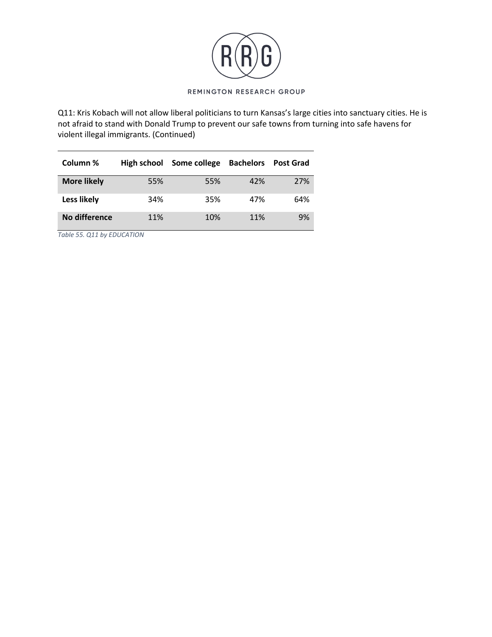

Q11: Kris Kobach will not allow liberal politicians to turn Kansas's large cities into sanctuary cities. He is not afraid to stand with Donald Trump to prevent our safe towns from turning into safe havens for violent illegal immigrants. (Continued)

| Column %           | High school | Some college | <b>Bachelors</b> | <b>Post Grad</b> |
|--------------------|-------------|--------------|------------------|------------------|
| <b>More likely</b> | 55%         | 55%          | 42%              | 27%              |
| Less likely        | 34%         | 35%          | 47%              | 64%              |
| No difference      | 11%         | 10%          | 11%              | 9%               |

*Table 55. Q11 by EDUCATION*